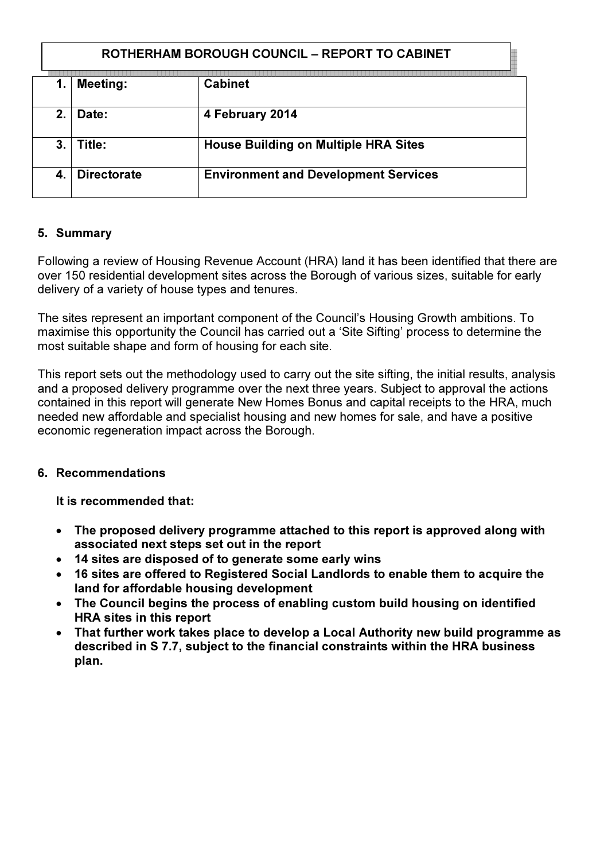### ROTHERHAM BOROUGH COUNCIL – REPORT TO CABINET

|             | <b>Meeting:</b>    | <b>Cabinet</b>                              |
|-------------|--------------------|---------------------------------------------|
| $2_{\cdot}$ | Date:              | 4 February 2014                             |
| 3.          | Title:             | <b>House Building on Multiple HRA Sites</b> |
|             | <b>Directorate</b> | <b>Environment and Development Services</b> |

#### 5. Summary

Following a review of Housing Revenue Account (HRA) land it has been identified that there are over 150 residential development sites across the Borough of various sizes, suitable for early delivery of a variety of house types and tenures.

The sites represent an important component of the Council's Housing Growth ambitions. To maximise this opportunity the Council has carried out a 'Site Sifting' process to determine the most suitable shape and form of housing for each site.

This report sets out the methodology used to carry out the site sifting, the initial results, analysis and a proposed delivery programme over the next three years. Subject to approval the actions contained in this report will generate New Homes Bonus and capital receipts to the HRA, much needed new affordable and specialist housing and new homes for sale, and have a positive economic regeneration impact across the Borough.

#### 6. Recommendations

It is recommended that:

- The proposed delivery programme attached to this report is approved along with associated next steps set out in the report
- 14 sites are disposed of to generate some early wins
- 16 sites are offered to Registered Social Landlords to enable them to acquire the land for affordable housing development
- The Council begins the process of enabling custom build housing on identified HRA sites in this report
- That further work takes place to develop a Local Authority new build programme as described in S 7.7, subject to the financial constraints within the HRA business plan.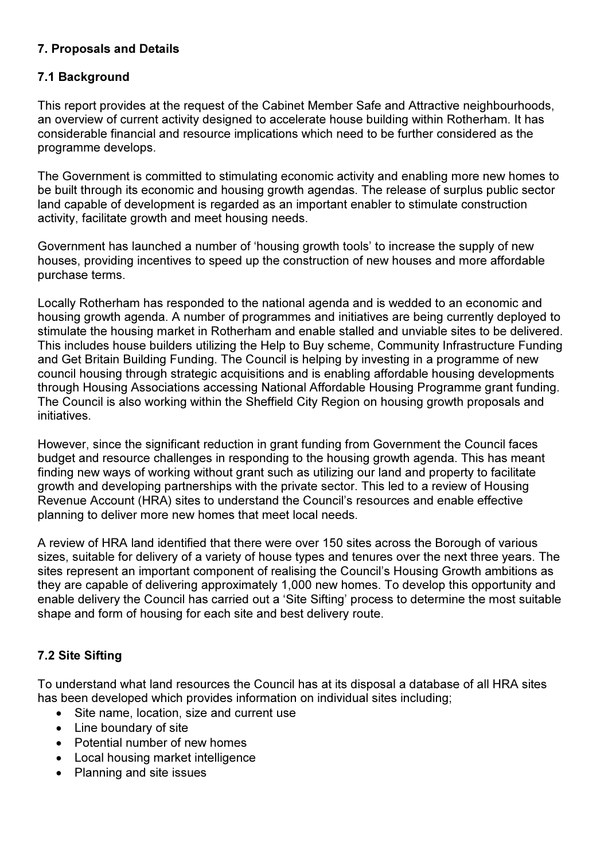## 7. Proposals and Details

### 7.1 Background

This report provides at the request of the Cabinet Member Safe and Attractive neighbourhoods, an overview of current activity designed to accelerate house building within Rotherham. It has considerable financial and resource implications which need to be further considered as the programme develops.

The Government is committed to stimulating economic activity and enabling more new homes to be built through its economic and housing growth agendas. The release of surplus public sector land capable of development is regarded as an important enabler to stimulate construction activity, facilitate growth and meet housing needs.

Government has launched a number of 'housing growth tools' to increase the supply of new houses, providing incentives to speed up the construction of new houses and more affordable purchase terms.

Locally Rotherham has responded to the national agenda and is wedded to an economic and housing growth agenda. A number of programmes and initiatives are being currently deployed to stimulate the housing market in Rotherham and enable stalled and unviable sites to be delivered. This includes house builders utilizing the Help to Buy scheme, Community Infrastructure Funding and Get Britain Building Funding. The Council is helping by investing in a programme of new council housing through strategic acquisitions and is enabling affordable housing developments through Housing Associations accessing National Affordable Housing Programme grant funding. The Council is also working within the Sheffield City Region on housing growth proposals and initiatives.

However, since the significant reduction in grant funding from Government the Council faces budget and resource challenges in responding to the housing growth agenda. This has meant finding new ways of working without grant such as utilizing our land and property to facilitate growth and developing partnerships with the private sector. This led to a review of Housing Revenue Account (HRA) sites to understand the Council's resources and enable effective planning to deliver more new homes that meet local needs.

A review of HRA land identified that there were over 150 sites across the Borough of various sizes, suitable for delivery of a variety of house types and tenures over the next three years. The sites represent an important component of realising the Council's Housing Growth ambitions as they are capable of delivering approximately 1,000 new homes. To develop this opportunity and enable delivery the Council has carried out a 'Site Sifting' process to determine the most suitable shape and form of housing for each site and best delivery route.

## 7.2 Site Sifting

To understand what land resources the Council has at its disposal a database of all HRA sites has been developed which provides information on individual sites including;

- Site name, location, size and current use
- Line boundary of site
- Potential number of new homes
- Local housing market intelligence
- Planning and site issues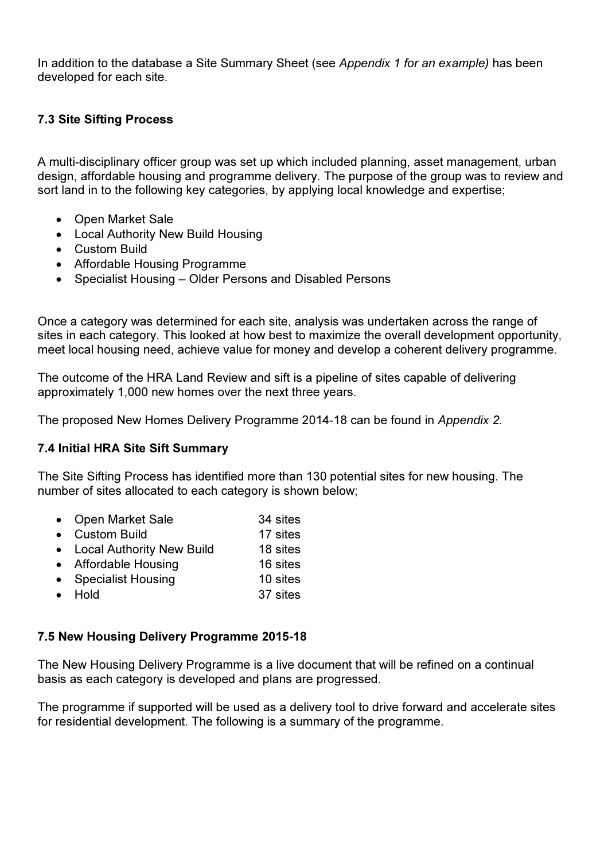In addition to the database a Site Summary Sheet (see Appendix 1 for an example) has been developed for each site.

## 7.3 Site Sifting Process

A multi-disciplinary officer group was set up which included planning, asset management, urban design, affordable housing and programme delivery. The purpose of the group was to review and sort land in to the following key categories, by applying local knowledge and expertise;

- Open Market Sale
- Local Authority New Build Housing
- Custom Build
- Affordable Housing Programme
- Specialist Housing Older Persons and Disabled Persons

Once a category was determined for each site, analysis was undertaken across the range of sites in each category. This looked at how best to maximize the overall development opportunity, meet local housing need, achieve value for money and develop a coherent delivery programme.

The outcome of the HRA Land Review and sift is a pipeline of sites capable of delivering approximately 1,000 new homes over the next three years.

The proposed New Homes Delivery Programme 2014-18 can be found in Appendix 2.

### 7.4 Initial HRA Site Sift Summary

The Site Sifting Process has identified more than 130 potential sites for new housing. The number of sites allocated to each category is shown below;

- Open Market Sale 34 sites
- Custom Build 17 sites
- Local Authority New Build 18 sites
- Affordable Housing 16 sites
- Specialist Housing 10 sites
- Hold 37 sites

### 7.5 New Housing Delivery Programme 2015-18

The New Housing Delivery Programme is a live document that will be refined on a continual basis as each category is developed and plans are progressed.

The programme if supported will be used as a delivery tool to drive forward and accelerate sites for residential development. The following is a summary of the programme.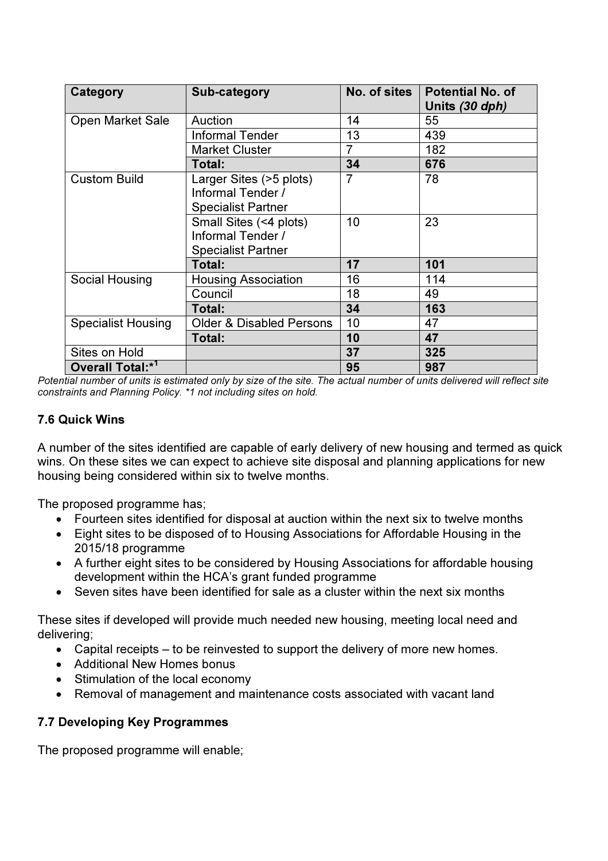| Category                     | Sub-category                                                              | No. of sites   | <b>Potential No. of</b><br>Units (30 dph) |
|------------------------------|---------------------------------------------------------------------------|----------------|-------------------------------------------|
| Open Market Sale             | Auction                                                                   | 14             | 55                                        |
|                              | <b>Informal Tender</b>                                                    | 13             | 439                                       |
|                              | <b>Market Cluster</b>                                                     | 7              | 182                                       |
|                              | Total:                                                                    | 34             | 676                                       |
| <b>Custom Build</b>          | Larger Sites (>5 plots)<br>Informal Tender /<br><b>Specialist Partner</b> | $\overline{7}$ | 78                                        |
|                              | Small Sites (<4 plots)<br>Informal Tender /<br><b>Specialist Partner</b>  | 10             | 23                                        |
|                              | Total:                                                                    | 17             | 101                                       |
| Social Housing               | <b>Housing Association</b>                                                | 16             | 114                                       |
|                              | Council                                                                   | 18             | 49                                        |
|                              | Total:                                                                    | 34             | 163                                       |
| <b>Specialist Housing</b>    | <b>Older &amp; Disabled Persons</b>                                       | 10             | 47                                        |
|                              | Total:                                                                    | 10             | 47                                        |
| Sites on Hold                |                                                                           | 37             | 325                                       |
| Overall Total:* <sup>1</sup> |                                                                           | 95             | 987                                       |

Potential number of units is estimated only by size of the site. The actual number of units delivered will reflect site constraints and Planning Policy. \*1 not including sites on hold.

### 7.6 Quick Wins

A number of the sites identified are capable of early delivery of new housing and termed as quick wins. On these sites we can expect to achieve site disposal and planning applications for new housing being considered within six to twelve months.

The proposed programme has;

- Fourteen sites identified for disposal at auction within the next six to twelve months
- Eight sites to be disposed of to Housing Associations for Affordable Housing in the 2015/18 programme
- A further eight sites to be considered by Housing Associations for affordable housing development within the HCA's grant funded programme
- Seven sites have been identified for sale as a cluster within the next six months

These sites if developed will provide much needed new housing, meeting local need and delivering;

- Capital receipts to be reinvested to support the delivery of more new homes.
- Additional New Homes bonus
- Stimulation of the local economy
- Removal of management and maintenance costs associated with vacant land

#### 7.7 Developing Key Programmes

The proposed programme will enable;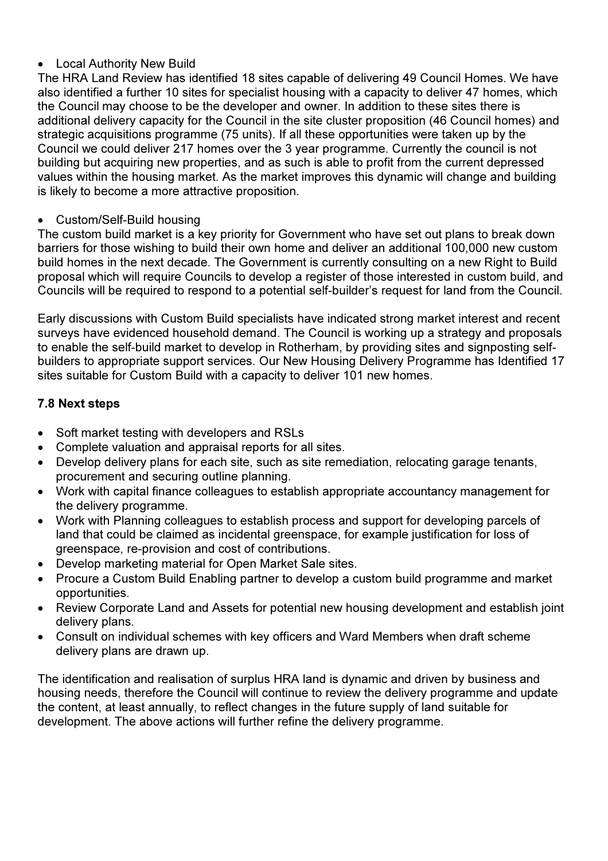### **Local Authority New Build**

The HRA Land Review has identified 18 sites capable of delivering 49 Council Homes. We have also identified a further 10 sites for specialist housing with a capacity to deliver 47 homes, which the Council may choose to be the developer and owner. In addition to these sites there is additional delivery capacity for the Council in the site cluster proposition (46 Council homes) and strategic acquisitions programme (75 units). If all these opportunities were taken up by the Council we could deliver 217 homes over the 3 year programme. Currently the council is not building but acquiring new properties, and as such is able to profit from the current depressed values within the housing market. As the market improves this dynamic will change and building is likely to become a more attractive proposition.

### • Custom/Self-Build housing

The custom build market is a key priority for Government who have set out plans to break down barriers for those wishing to build their own home and deliver an additional 100,000 new custom build homes in the next decade. The Government is currently consulting on a new Right to Build proposal which will require Councils to develop a register of those interested in custom build, and Councils will be required to respond to a potential self-builder's request for land from the Council.

Early discussions with Custom Build specialists have indicated strong market interest and recent surveys have evidenced household demand. The Council is working up a strategy and proposals to enable the self-build market to develop in Rotherham, by providing sites and signposting selfbuilders to appropriate support services. Our New Housing Delivery Programme has Identified 17 sites suitable for Custom Build with a capacity to deliver 101 new homes.

## 7.8 Next steps

- Soft market testing with developers and RSLs
- Complete valuation and appraisal reports for all sites.
- Develop delivery plans for each site, such as site remediation, relocating garage tenants, procurement and securing outline planning.
- Work with capital finance colleagues to establish appropriate accountancy management for the delivery programme.
- Work with Planning colleagues to establish process and support for developing parcels of land that could be claimed as incidental greenspace, for example justification for loss of greenspace, re-provision and cost of contributions.
- Develop marketing material for Open Market Sale sites.
- Procure a Custom Build Enabling partner to develop a custom build programme and market opportunities.
- Review Corporate Land and Assets for potential new housing development and establish joint delivery plans.
- Consult on individual schemes with key officers and Ward Members when draft scheme delivery plans are drawn up.

The identification and realisation of surplus HRA land is dynamic and driven by business and housing needs, therefore the Council will continue to review the delivery programme and update the content, at least annually, to reflect changes in the future supply of land suitable for development. The above actions will further refine the delivery programme.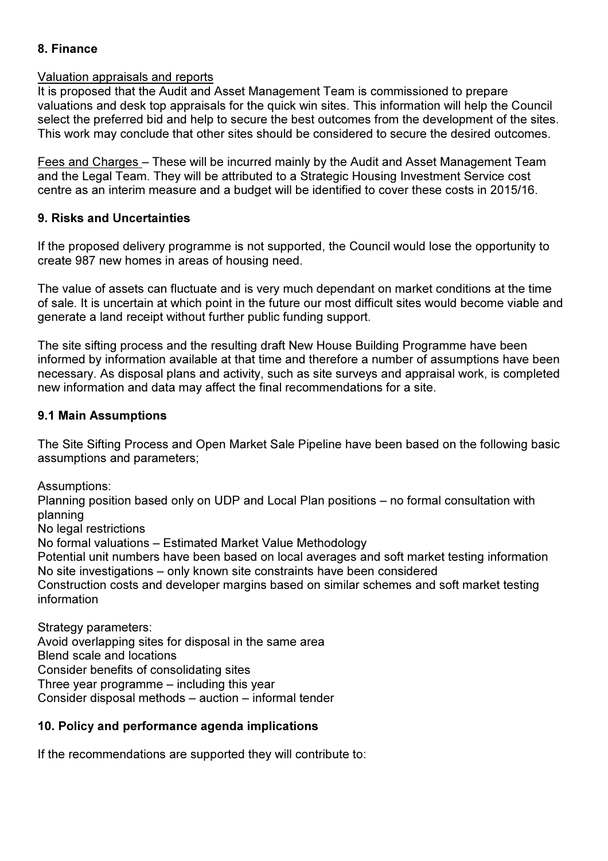## 8. Finance

#### Valuation appraisals and reports

It is proposed that the Audit and Asset Management Team is commissioned to prepare valuations and desk top appraisals for the quick win sites. This information will help the Council select the preferred bid and help to secure the best outcomes from the development of the sites. This work may conclude that other sites should be considered to secure the desired outcomes.

Fees and Charges – These will be incurred mainly by the Audit and Asset Management Team and the Legal Team. They will be attributed to a Strategic Housing Investment Service cost centre as an interim measure and a budget will be identified to cover these costs in 2015/16.

### 9. Risks and Uncertainties

If the proposed delivery programme is not supported, the Council would lose the opportunity to create 987 new homes in areas of housing need.

The value of assets can fluctuate and is very much dependant on market conditions at the time of sale. It is uncertain at which point in the future our most difficult sites would become viable and generate a land receipt without further public funding support.

The site sifting process and the resulting draft New House Building Programme have been informed by information available at that time and therefore a number of assumptions have been necessary. As disposal plans and activity, such as site surveys and appraisal work, is completed new information and data may affect the final recommendations for a site.

### 9.1 Main Assumptions

The Site Sifting Process and Open Market Sale Pipeline have been based on the following basic assumptions and parameters;

Assumptions: Planning position based only on UDP and Local Plan positions – no formal consultation with planning No legal restrictions No formal valuations – Estimated Market Value Methodology Potential unit numbers have been based on local averages and soft market testing information No site investigations – only known site constraints have been considered Construction costs and developer margins based on similar schemes and soft market testing information

Strategy parameters: Avoid overlapping sites for disposal in the same area Blend scale and locations Consider benefits of consolidating sites Three year programme – including this year Consider disposal methods – auction – informal tender

### 10. Policy and performance agenda implications

If the recommendations are supported they will contribute to: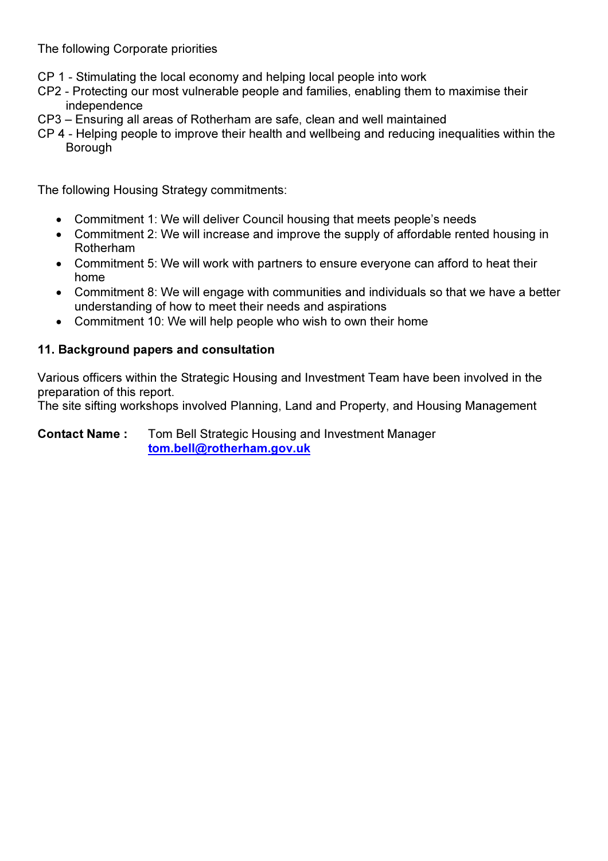The following Corporate priorities

- CP 1 Stimulating the local economy and helping local people into work
- CP2 Protecting our most vulnerable people and families, enabling them to maximise their independence
- CP3 Ensuring all areas of Rotherham are safe, clean and well maintained
- CP 4 Helping people to improve their health and wellbeing and reducing inequalities within the Borough

The following Housing Strategy commitments:

- Commitment 1: We will deliver Council housing that meets people's needs
- Commitment 2: We will increase and improve the supply of affordable rented housing in Rotherham
- Commitment 5: We will work with partners to ensure everyone can afford to heat their home
- Commitment 8: We will engage with communities and individuals so that we have a better understanding of how to meet their needs and aspirations
- Commitment 10: We will help people who wish to own their home

## 11. Background papers and consultation

Various officers within the Strategic Housing and Investment Team have been involved in the preparation of this report.

The site sifting workshops involved Planning, Land and Property, and Housing Management

Contact Name : Tom Bell Strategic Housing and Investment Manager tom.bell@rotherham.gov.uk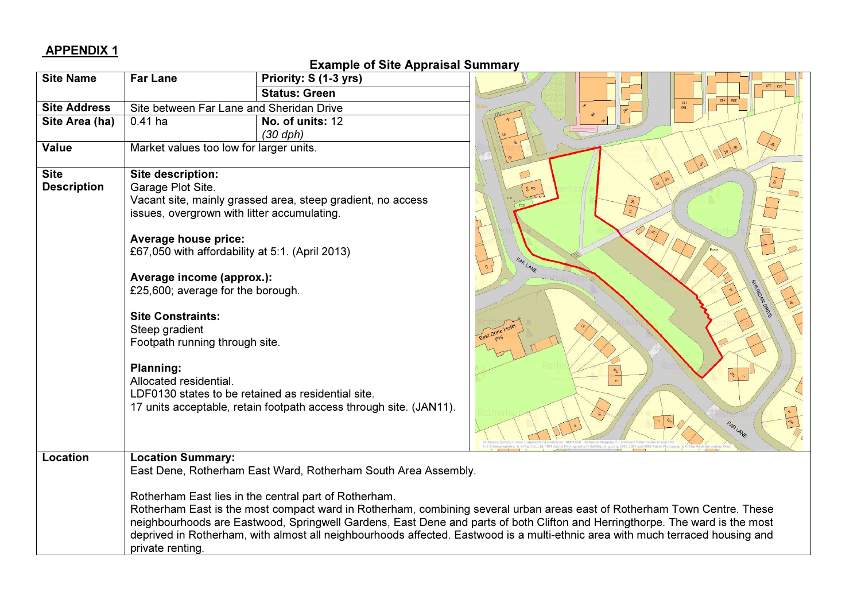# APPENDIX 1

### Example of Site Appraisal Summary

| <b>Site Name</b>                  | <b>Far Lane</b>                                                                                                                                                                                                                                                                                                                                                         | Priority: S (1-3 yrs)                                                                                                                                                                   |                                                                                                                                                                                                                                                                                                                                                                                            |
|-----------------------------------|-------------------------------------------------------------------------------------------------------------------------------------------------------------------------------------------------------------------------------------------------------------------------------------------------------------------------------------------------------------------------|-----------------------------------------------------------------------------------------------------------------------------------------------------------------------------------------|--------------------------------------------------------------------------------------------------------------------------------------------------------------------------------------------------------------------------------------------------------------------------------------------------------------------------------------------------------------------------------------------|
|                                   |                                                                                                                                                                                                                                                                                                                                                                         | <b>Status: Green</b>                                                                                                                                                                    |                                                                                                                                                                                                                                                                                                                                                                                            |
| <b>Site Address</b>               | Site between Far Lane and Sheridan Drive                                                                                                                                                                                                                                                                                                                                |                                                                                                                                                                                         |                                                                                                                                                                                                                                                                                                                                                                                            |
| Site Area (ha)                    | $0.41$ ha                                                                                                                                                                                                                                                                                                                                                               | No. of units: 12<br>$(30 \text{ dph})$                                                                                                                                                  |                                                                                                                                                                                                                                                                                                                                                                                            |
| <b>Value</b>                      | Market values too low for larger units.                                                                                                                                                                                                                                                                                                                                 |                                                                                                                                                                                         |                                                                                                                                                                                                                                                                                                                                                                                            |
| <b>Site</b><br><b>Description</b> | Site description:<br>Garage Plot Site.<br>issues, overgrown with litter accumulating.<br><b>Average house price:</b><br>£67,050 with affordability at 5:1. (April 2013)<br>Average income (approx.):<br>£25,600; average for the borough.<br><b>Site Constraints:</b><br>Steep gradient<br>Footpath running through site.<br><b>Planning:</b><br>Allocated residential. | Vacant site, mainly grassed area, steep gradient, no access<br>LDF0130 states to be retained as residential site.<br>17 units acceptable, retain footpath access through site. (JAN11). | S PO<br>FARLANE<br>$\mathfrak{A}$<br>SHERIOPA ORNE<br>$\Phi_{\!\scriptscriptstyle 2}$<br>$\bar{\mathbf{N}}$<br>FARLANE                                                                                                                                                                                                                                                                     |
| Location                          | <b>Location Summary:</b>                                                                                                                                                                                                                                                                                                                                                | East Dene, Rotherham East Ward, Rotherham South Area Assembly.                                                                                                                          |                                                                                                                                                                                                                                                                                                                                                                                            |
|                                   | private renting.                                                                                                                                                                                                                                                                                                                                                        | Rotherham East lies in the central part of Rotherham.                                                                                                                                   | Rotherham East is the most compact ward in Rotherham, combining several urban areas east of Rotherham Town Centre. These<br>neighbourhoods are Eastwood, Springwell Gardens, East Dene and parts of both Clifton and Herringthorpe. The ward is the most<br>deprived in Rotherham, with almost all neighbourhoods affected. Eastwood is a multi-ethnic area with much terraced housing and |

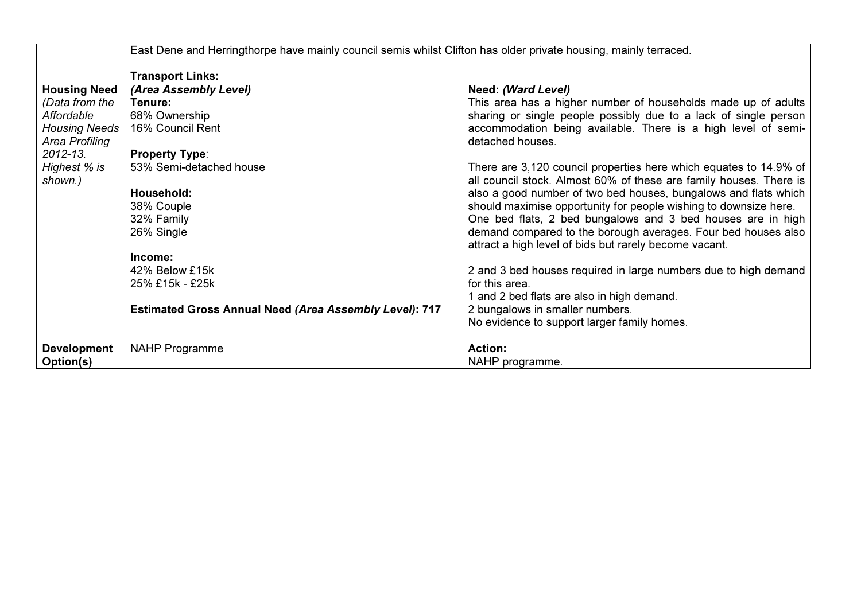|                      | East Dene and Herringthorpe have mainly council semis whilst Clifton has older private housing, mainly terraced. |                                                                                                                         |  |  |  |  |
|----------------------|------------------------------------------------------------------------------------------------------------------|-------------------------------------------------------------------------------------------------------------------------|--|--|--|--|
|                      | <b>Transport Links:</b>                                                                                          |                                                                                                                         |  |  |  |  |
| <b>Housing Need</b>  | (Area Assembly Level)                                                                                            | Need: (Ward Level)                                                                                                      |  |  |  |  |
| (Data from the       | Tenure:                                                                                                          | This area has a higher number of households made up of adults                                                           |  |  |  |  |
| Affordable           | 68% Ownership                                                                                                    | sharing or single people possibly due to a lack of single person                                                        |  |  |  |  |
| <b>Housing Needs</b> | 16% Council Rent                                                                                                 | accommodation being available. There is a high level of semi-                                                           |  |  |  |  |
| Area Profiling       |                                                                                                                  | detached houses.                                                                                                        |  |  |  |  |
| $2012 - 13$ .        | <b>Property Type:</b>                                                                                            |                                                                                                                         |  |  |  |  |
| Highest % is         | 53% Semi-detached house                                                                                          | There are 3,120 council properties here which equates to 14.9% of                                                       |  |  |  |  |
| shown.)              |                                                                                                                  | all council stock. Almost 60% of these are family houses. There is                                                      |  |  |  |  |
|                      | Household:                                                                                                       | also a good number of two bed houses, bungalows and flats which                                                         |  |  |  |  |
|                      | 38% Couple                                                                                                       | should maximise opportunity for people wishing to downsize here.                                                        |  |  |  |  |
|                      | 32% Family                                                                                                       | One bed flats, 2 bed bungalows and 3 bed houses are in high                                                             |  |  |  |  |
|                      | 26% Single                                                                                                       | demand compared to the borough averages. Four bed houses also<br>attract a high level of bids but rarely become vacant. |  |  |  |  |
|                      | Income:                                                                                                          |                                                                                                                         |  |  |  |  |
|                      | 42% Below £15k                                                                                                   | 2 and 3 bed houses required in large numbers due to high demand                                                         |  |  |  |  |
|                      | 25% £15k - £25k                                                                                                  | for this area.                                                                                                          |  |  |  |  |
|                      |                                                                                                                  | 1 and 2 bed flats are also in high demand.                                                                              |  |  |  |  |
|                      | <b>Estimated Gross Annual Need (Area Assembly Level): 717</b>                                                    | 2 bungalows in smaller numbers.                                                                                         |  |  |  |  |
|                      |                                                                                                                  | No evidence to support larger family homes.                                                                             |  |  |  |  |
| <b>Development</b>   | <b>NAHP Programme</b>                                                                                            | <b>Action:</b>                                                                                                          |  |  |  |  |
| Option(s)            |                                                                                                                  | NAHP programme.                                                                                                         |  |  |  |  |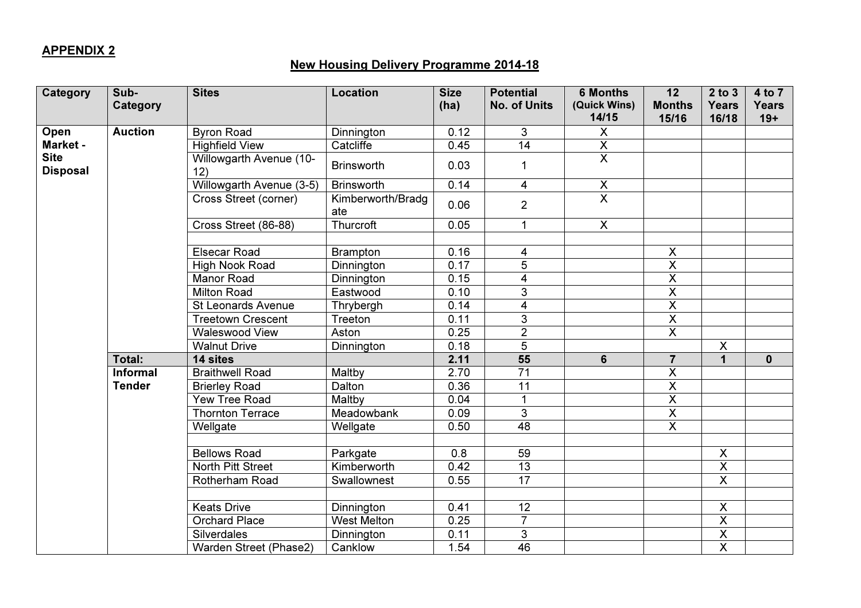# APPENDIX 2

# New Housing Delivery Programme 2014-18

| <b>Category</b>                | Sub-            | <b>Sites</b>                   | <b>Location</b>          | <b>Size</b> | <b>Potential</b>        | <b>6 Months</b>         | 12                      | $2$ to $3$              | 4 to 7       |
|--------------------------------|-----------------|--------------------------------|--------------------------|-------------|-------------------------|-------------------------|-------------------------|-------------------------|--------------|
|                                | Category        |                                |                          | (ha)        | <b>No. of Units</b>     | (Quick Wins)            | <b>Months</b>           | <b>Years</b>            | <b>Years</b> |
|                                |                 |                                |                          |             |                         | 14/15                   | 15/16                   | 16/18                   | $19+$        |
| Open                           | <b>Auction</b>  | <b>Byron Road</b>              | Dinnington               | 0.12        | 3                       | X                       |                         |                         |              |
| Market -                       |                 | <b>Highfield View</b>          | Catcliffe                | 0.45        | $\overline{14}$         | $\overline{\mathsf{X}}$ |                         |                         |              |
| <b>Site</b><br><b>Disposal</b> |                 | Willowgarth Avenue (10-<br>12) | <b>Brinsworth</b>        | 0.03        | $\mathbf{1}$            | $\overline{\mathsf{x}}$ |                         |                         |              |
|                                |                 | Willowgarth Avenue (3-5)       | <b>Brinsworth</b>        | 0.14        | $\overline{4}$          | $\overline{X}$          |                         |                         |              |
|                                |                 | Cross Street (corner)          | Kimberworth/Bradg<br>ate | 0.06        | $\overline{2}$          | $\overline{\mathsf{x}}$ |                         |                         |              |
|                                |                 | Cross Street (86-88)           | Thurcroft                | 0.05        | $\mathbf{1}$            | $\overline{X}$          |                         |                         |              |
|                                |                 |                                |                          |             |                         |                         |                         |                         |              |
|                                |                 | <b>Elsecar Road</b>            | <b>Brampton</b>          | 0.16        | 4                       |                         | $\boldsymbol{X}$        |                         |              |
|                                |                 | <b>High Nook Road</b>          | Dinnington               | 0.17        | $\overline{5}$          |                         | $\overline{\mathsf{x}}$ |                         |              |
|                                |                 | <b>Manor Road</b>              | Dinnington               | 0.15        | $\overline{\mathbf{4}}$ |                         | $\overline{X}$          |                         |              |
|                                |                 | <b>Milton Road</b>             | Eastwood                 | 0.10        | $\overline{3}$          |                         | $\overline{\mathsf{x}}$ |                         |              |
|                                |                 | <b>St Leonards Avenue</b>      | Thrybergh                | 0.14        | $\overline{4}$          |                         | $\overline{\mathsf{x}}$ |                         |              |
|                                |                 | <b>Treetown Crescent</b>       | Treeton                  | 0.11        | $\overline{3}$          |                         | $\overline{X}$          |                         |              |
|                                |                 | <b>Waleswood View</b>          | Aston                    | 0.25        | $\overline{2}$          |                         | $\overline{\mathsf{x}}$ |                         |              |
|                                |                 | <b>Walnut Drive</b>            | Dinnington               | 0.18        | $\overline{5}$          |                         |                         | $\overline{\mathsf{x}}$ |              |
|                                | Total:          | 14 sites                       |                          | 2.11        | $\overline{55}$         | 6                       | $\overline{7}$          | $\overline{1}$          | $\mathbf 0$  |
|                                | <b>Informal</b> | <b>Braithwell Road</b>         | Maltby                   | 2.70        | $\overline{71}$         |                         | $\sf X$                 |                         |              |
|                                | <b>Tender</b>   | <b>Brierley Road</b>           | Dalton                   | 0.36        | 11                      |                         | $\overline{\mathsf{X}}$ |                         |              |
|                                |                 | Yew Tree Road                  | Maltby                   | 0.04        | $\mathbf{1}$            |                         | $\overline{\mathsf{x}}$ |                         |              |
|                                |                 | <b>Thornton Terrace</b>        | Meadowbank               | 0.09        | $\overline{3}$          |                         | $\overline{X}$          |                         |              |
|                                |                 | Wellgate                       | Wellgate                 | 0.50        | 48                      |                         | $\overline{\mathsf{x}}$ |                         |              |
|                                |                 |                                |                          |             |                         |                         |                         |                         |              |
|                                |                 | <b>Bellows Road</b>            | Parkgate                 | 0.8         | 59                      |                         |                         | $\overline{\mathsf{x}}$ |              |
|                                |                 | North Pitt Street              | Kimberworth              | 0.42        | 13                      |                         |                         | $\overline{X}$          |              |
|                                |                 | Rotherham Road                 | Swallownest              | 0.55        | 17                      |                         |                         | $\overline{\mathsf{x}}$ |              |
|                                |                 |                                |                          |             |                         |                         |                         |                         |              |
|                                |                 | <b>Keats Drive</b>             | Dinnington               | 0.41        | $\overline{12}$         |                         |                         | $\overline{\mathsf{x}}$ |              |
|                                |                 | Orchard Place                  | <b>West Melton</b>       | 0.25        | $\overline{7}$          |                         |                         | $\overline{\mathsf{X}}$ |              |
|                                |                 | Silverdales                    | Dinnington               | 0.11        | $\overline{3}$          |                         |                         | $\overline{\mathsf{X}}$ |              |
|                                |                 | Warden Street (Phase2)         | Canklow                  | 1.54        | 46                      |                         |                         | $\overline{\mathsf{x}}$ |              |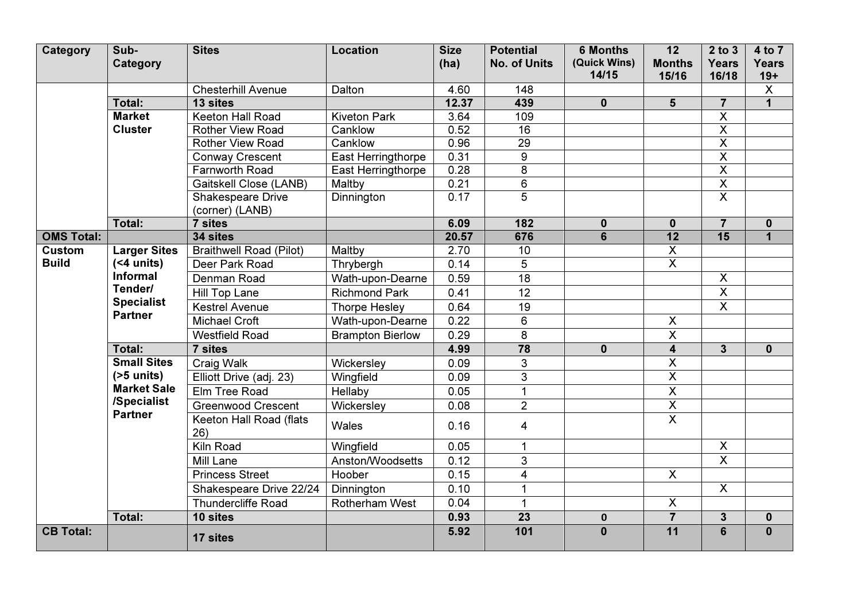| <b>Category</b>   | Sub-<br>Category                                                                                        | <b>Sites</b>                   | <b>Location</b>         | <b>Size</b><br>(ha) | <b>Potential</b><br><b>No. of Units</b> | <b>6 Months</b><br>(Quick Wins)<br>14/15 | 12<br><b>Months</b><br>15/16 | $2$ to $3$<br><b>Years</b><br>16/18 | 4 to 7<br><b>Years</b>           |
|-------------------|---------------------------------------------------------------------------------------------------------|--------------------------------|-------------------------|---------------------|-----------------------------------------|------------------------------------------|------------------------------|-------------------------------------|----------------------------------|
|                   |                                                                                                         | <b>Chesterhill Avenue</b>      | Dalton                  | 4.60                | 148                                     |                                          |                              |                                     | $19+$<br>$\overline{\mathsf{x}}$ |
|                   | Total:                                                                                                  | 13 sites                       |                         | 12.37               | 439                                     | $\mathbf{0}$                             | 5                            | $\overline{7}$                      | $\overline{1}$                   |
|                   | <b>Market</b>                                                                                           | Keeton Hall Road               | <b>Kiveton Park</b>     | 3.64                | 109                                     |                                          |                              | $\overline{\mathsf{X}}$             |                                  |
|                   | <b>Cluster</b>                                                                                          | <b>Rother View Road</b>        | Canklow                 | 0.52                | 16                                      |                                          |                              | $\overline{\mathsf{x}}$             |                                  |
|                   |                                                                                                         | <b>Rother View Road</b>        | Canklow                 | 0.96                | $\overline{29}$                         |                                          |                              | $\overline{\mathsf{x}}$             |                                  |
|                   |                                                                                                         | <b>Conway Crescent</b>         | East Herringthorpe      | 0.31                | 9                                       |                                          |                              | $\overline{\mathsf{x}}$             |                                  |
|                   |                                                                                                         | Farnworth Road                 | East Herringthorpe      | 0.28                | $\overline{\infty}$                     |                                          |                              | $\overline{\mathsf{X}}$             |                                  |
|                   |                                                                                                         | Gaitskell Close (LANB)         | Maltby                  | 0.21                | $\overline{6}$                          |                                          |                              | $\overline{\mathsf{X}}$             |                                  |
|                   |                                                                                                         | <b>Shakespeare Drive</b>       | Dinnington              | 0.17                | 5                                       |                                          |                              | $\overline{\mathsf{x}}$             |                                  |
|                   |                                                                                                         | (corner) (LANB)                |                         |                     |                                         |                                          |                              |                                     |                                  |
|                   | Total:                                                                                                  | 7 sites                        |                         | 6.09                | 182                                     | $\mathbf 0$                              | $\mathbf 0$                  | $\overline{7}$                      | $\mathbf 0$                      |
| <b>OMS Total:</b> |                                                                                                         | 34 sites                       |                         | 20.57               | 676                                     | $6\phantom{a}$                           | 12                           | $\overline{15}$                     | $\overline{1}$                   |
| Custom            | <b>Larger Sites</b><br>$(4$ units)<br><b>Informal</b><br>Tender/<br><b>Specialist</b><br><b>Partner</b> | <b>Braithwell Road (Pilot)</b> | Maltby                  | 2.70                | 10                                      |                                          | $\overline{X}$               |                                     |                                  |
| <b>Build</b>      |                                                                                                         | Deer Park Road                 | Thrybergh               | 0.14                | 5                                       |                                          | $\overline{\mathsf{x}}$      |                                     |                                  |
|                   |                                                                                                         | Denman Road                    | Wath-upon-Dearne        | 0.59                | 18                                      |                                          |                              | $\overline{X}$                      |                                  |
|                   |                                                                                                         | Hill Top Lane                  | <b>Richmond Park</b>    | 0.41                | 12                                      |                                          |                              | $\mathsf{X}$                        |                                  |
|                   |                                                                                                         | <b>Kestrel Avenue</b>          | <b>Thorpe Hesley</b>    | 0.64                | $\overline{19}$                         |                                          |                              | $\overline{\mathsf{x}}$             |                                  |
|                   |                                                                                                         | <b>Michael Croft</b>           | Wath-upon-Dearne        | 0.22                | 6                                       |                                          | $\mathsf{X}$                 |                                     |                                  |
|                   |                                                                                                         | <b>Westfield Road</b>          | <b>Brampton Bierlow</b> | 0.29                | $\overline{\infty}$                     |                                          | $\overline{\mathsf{x}}$      |                                     |                                  |
|                   | Total:                                                                                                  | 7 sites                        |                         | 4.99                | 78                                      | $\mathbf 0$                              | $\overline{\mathbf{4}}$      | $\overline{3}$                      | $\mathbf 0$                      |
|                   | <b>Small Sites</b>                                                                                      | Craig Walk                     | Wickersley              | 0.09                | 3                                       |                                          | $\overline{\mathsf{X}}$      |                                     |                                  |
|                   | $(55$ units)                                                                                            | Elliott Drive (adj. 23)        | Wingfield               | 0.09                | $\overline{3}$                          |                                          | $\overline{\mathsf{x}}$      |                                     |                                  |
|                   | <b>Market Sale</b>                                                                                      | Elm Tree Road                  | Hellaby                 | 0.05                | $\mathbf{1}$                            |                                          | $\mathsf{X}$                 |                                     |                                  |
|                   | /Specialist                                                                                             | <b>Greenwood Crescent</b>      | Wickersley              | 0.08                | $\overline{2}$                          |                                          | $\overline{\mathsf{x}}$      |                                     |                                  |
|                   | <b>Partner</b>                                                                                          | Keeton Hall Road (flats<br>26) | Wales                   | 0.16                | 4                                       |                                          | $\overline{\mathsf{x}}$      |                                     |                                  |
|                   |                                                                                                         | Kiln Road                      | Wingfield               | 0.05                | $\mathbf{1}$                            |                                          |                              | $\mathsf{X}$                        |                                  |
|                   |                                                                                                         | Mill Lane                      | Anston/Woodsetts        | 0.12                | 3                                       |                                          |                              | $\overline{\mathsf{x}}$             |                                  |
|                   |                                                                                                         | <b>Princess Street</b>         | Hoober                  | 0.15                | $\overline{4}$                          |                                          | $\overline{X}$               |                                     |                                  |
|                   |                                                                                                         | Shakespeare Drive 22/24        | Dinnington              | 0.10                | $\mathbf{1}$                            |                                          |                              | $\overline{\mathsf{x}}$             |                                  |
|                   |                                                                                                         | <b>Thundercliffe Road</b>      | Rotherham West          | 0.04                | $\mathbf{1}$                            |                                          | $\mathsf{X}$                 |                                     |                                  |
|                   | Total:                                                                                                  | 10 sites                       |                         | 0.93                | 23                                      | $\mathbf 0$                              | $\overline{7}$               | $\mathbf{3}$                        | $\mathbf 0$                      |
| <b>CB Total:</b>  |                                                                                                         | 17 sites                       |                         | 5.92                | 101                                     | $\overline{\mathbf{0}}$                  | $\overline{11}$              | $\overline{6}$                      | $\overline{\mathbf{0}}$          |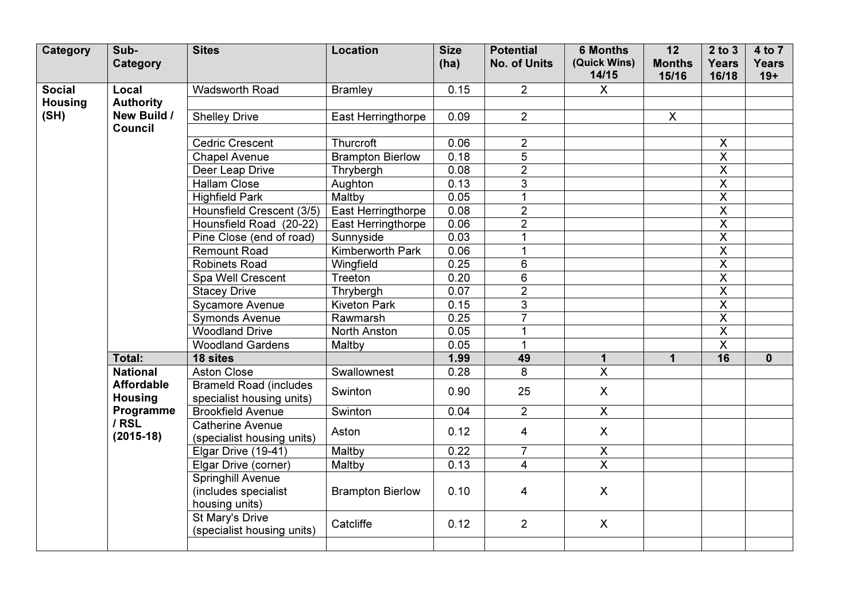| Category                                | Sub-<br>Category                    | <b>Sites</b>                                                | <b>Location</b>         | <b>Size</b><br>(ha) | <b>Potential</b><br><b>No. of Units</b> | <b>6 Months</b><br>(Quick Wins) | $\overline{12}$<br><b>Months</b> | $2$ to $3$<br><b>Years</b> | 4 to 7<br><b>Years</b> |
|-----------------------------------------|-------------------------------------|-------------------------------------------------------------|-------------------------|---------------------|-----------------------------------------|---------------------------------|----------------------------------|----------------------------|------------------------|
|                                         |                                     |                                                             |                         |                     |                                         | 14/15                           | 15/16                            | 16/18                      | $19+$                  |
| <b>Social</b><br><b>Housing</b><br>(SH) | Local                               | <b>Wadsworth Road</b>                                       | <b>Bramley</b>          | 0.15                | $\overline{2}$                          | $\mathsf{X}$                    |                                  |                            |                        |
|                                         | <b>Authority</b>                    |                                                             |                         |                     |                                         |                                 |                                  |                            |                        |
|                                         | New Build /                         | <b>Shelley Drive</b>                                        | East Herringthorpe      | 0.09                | $\overline{2}$                          |                                 | $\boldsymbol{\mathsf{X}}$        |                            |                        |
|                                         | Council                             |                                                             |                         |                     |                                         |                                 |                                  |                            |                        |
|                                         |                                     | <b>Cedric Crescent</b>                                      | Thurcroft               | 0.06                | $\overline{2}$                          |                                 |                                  | $\boldsymbol{\mathsf{X}}$  |                        |
|                                         |                                     | <b>Chapel Avenue</b>                                        | <b>Brampton Bierlow</b> | 0.18                | $\overline{5}$                          |                                 |                                  | $\overline{\mathsf{x}}$    |                        |
|                                         |                                     | Deer Leap Drive                                             | Thrybergh               | 0.08                | $\overline{2}$                          |                                 |                                  | $\overline{\mathsf{X}}$    |                        |
|                                         |                                     | <b>Hallam Close</b>                                         | Aughton                 | 0.13                | 3                                       |                                 |                                  | $\overline{\mathsf{x}}$    |                        |
|                                         |                                     | <b>Highfield Park</b>                                       | Maltby                  | 0.05                |                                         |                                 |                                  | $\overline{\mathsf{X}}$    |                        |
|                                         |                                     | Hounsfield Crescent (3/5)                                   | East Herringthorpe      | 0.08                | $\overline{2}$                          |                                 |                                  | $\overline{\mathsf{X}}$    |                        |
|                                         |                                     | Hounsfield Road (20-22)                                     | East Herringthorpe      | 0.06                | $\overline{2}$                          |                                 |                                  | $\overline{\mathsf{x}}$    |                        |
|                                         |                                     | Pine Close (end of road)                                    | Sunnyside               | 0.03                |                                         |                                 |                                  | $\overline{\mathsf{x}}$    |                        |
|                                         |                                     | <b>Remount Road</b>                                         | <b>Kimberworth Park</b> | 0.06                |                                         |                                 |                                  | $\overline{\mathsf{x}}$    |                        |
|                                         |                                     | <b>Robinets Road</b>                                        | Wingfield               | 0.25                | 6                                       |                                 |                                  | $\overline{\mathsf{X}}$    |                        |
|                                         |                                     | Spa Well Crescent                                           | Treeton                 | 0.20                | 6                                       |                                 |                                  | $\overline{\mathsf{X}}$    |                        |
|                                         |                                     | <b>Stacey Drive</b>                                         | Thrybergh               | 0.07                | $\overline{2}$                          |                                 |                                  | $\overline{\mathsf{x}}$    |                        |
|                                         |                                     | <b>Sycamore Avenue</b>                                      | <b>Kiveton Park</b>     | 0.15                | 3                                       |                                 |                                  | $\overline{\mathsf{x}}$    |                        |
|                                         |                                     | <b>Symonds Avenue</b>                                       | Rawmarsh                | 0.25                | $\overline{7}$                          |                                 |                                  | $\overline{\mathsf{X}}$    |                        |
|                                         |                                     | <b>Woodland Drive</b>                                       | North Anston            | 0.05                |                                         |                                 |                                  | $\overline{\mathsf{X}}$    |                        |
|                                         |                                     | <b>Woodland Gardens</b>                                     | Maltby                  | 0.05                |                                         |                                 |                                  | $\overline{\mathsf{x}}$    |                        |
|                                         | Total:                              | 18 sites                                                    |                         | 1.99                | 49                                      | $\mathbf 1$                     | $\mathbf 1$                      | 16                         | $\mathbf{0}$           |
|                                         | <b>National</b>                     | <b>Aston Close</b>                                          | Swallownest             | 0.28                | 8                                       | $\overline{X}$                  |                                  |                            |                        |
|                                         | <b>Affordable</b><br><b>Housing</b> | <b>Brameld Road (includes</b><br>specialist housing units)  | Swinton                 | 0.90                | 25                                      | $\mathsf{X}$                    |                                  |                            |                        |
|                                         | Programme                           | <b>Brookfield Avenue</b>                                    | Swinton                 | 0.04                | $2^{\circ}$                             | $\overline{X}$                  |                                  |                            |                        |
|                                         | / RSL<br>$(2015-18)$                | <b>Catherine Avenue</b>                                     | Aston                   | 0.12                | 4                                       | $\mathsf{X}$                    |                                  |                            |                        |
|                                         |                                     | (specialist housing units)<br>Elgar Drive (19-41)           | Maltby                  | 0.22                | $\overline{7}$                          | $\mathsf{X}$                    |                                  |                            |                        |
|                                         |                                     |                                                             |                         | 0.13                |                                         | $\overline{X}$                  |                                  |                            |                        |
|                                         |                                     | Elgar Drive (corner)                                        | Maltby                  |                     | $\overline{4}$                          |                                 |                                  |                            |                        |
|                                         |                                     | Springhill Avenue<br>(includes specialist<br>housing units) | <b>Brampton Bierlow</b> | 0.10                | 4                                       | $\mathsf{X}$                    |                                  |                            |                        |
|                                         |                                     | St Mary's Drive<br>(specialist housing units)               | Catcliffe               | 0.12                | $\overline{2}$                          | $\mathsf{X}$                    |                                  |                            |                        |
|                                         |                                     |                                                             |                         |                     |                                         |                                 |                                  |                            |                        |